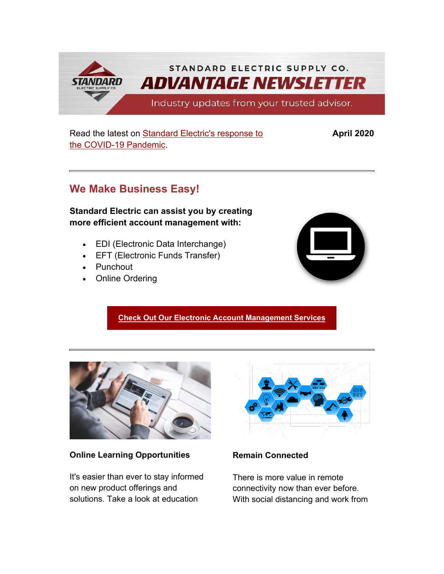STANDARD ELECTRIC SUPPLY CO. **ADVANTAGE NEWSLETTER STANDARD** Industry updates from your trusted advisor.

## Read the latest on **Standard Electric's response to** [the COVID-19 Pandemic.](https://info.standardelectricsupply.com/e2t/c/*W87pdsv2YgM26W9dp5CL5Xq45W0/*W28cnfs88fWzkVHPjnJ2f_vl50/5/f18dQhb0S82_9dK6c6N92F23YHbqG6W1yfnKS1PV7WDW7nV4hL1vkZ1yW1L5k951BbMZPW2MyrhR2JDkv5W1J4xnn1J6lZzW7kXZxV7z32HLW7z2NMJ7vRd-LN8qtc8xP4SjxW5XL6Cy7vRnKpW2Sy6Yz1G836hW1CrjjG7QSR7wW2Rfv3_1L4LKyW2WtZKJ2GFmQXW6z4DkV2NyZnyW2PzydN1TwkHNW1MkxSB8z1psvV6dNLj1L4xyjW6FKg-T2XsCWxW7tfTF57m9_ztN1FpGmLNCBz0W7_J6bq3zwDW5W3jxWlJ3VVkFJW4LG55J3yZDDxW3KFFNt47_mWrW2-R3t83gGSj8W5lQtSx2YwkSNW4VQjYF3T6lVzW5xT9Qc2N5sLgW34D71P3lmzBqW2yrLYW2CPsnbW5jHJJ35HT8dXW5WxjGz4tkfBzW4kwKhR5PT23jW3Wlb7M6xbl_BW4DZw__69_hl1W2GqWdk5WY20GW3scx-V2Dz2WMW1CnLL35DhsBnMrPpMvrJh2DW4DkbQ78y1M_bW4K6lg71thd1_W3NYDzM19rc8kW7prBSs7Zs_FzW2TVPgT2_yFJDW7VFTpj1LcyZ-W7FPsfh8kzx_dVrVprC56gBW-W8f4Yzb4-lKYR0)

# **We Make Business Easy!**

**Standard Electric can assist you by creating more efficient account management with:**

- EDI (Electronic Data Interchange)
- EFT (Electronic Funds Transfer)
- Punchout
- Online Ordering



**April 2020**

# **[Check Out Our Electronic Account Management Services](https://info.standardelectricsupply.com/e2t/c/*W87pdsv2YgM26W9dp5CL5Xq45W0/*W4dgNcj2RtcRwW25Mxr95hvVZ80/5/f18dQhb0SfHx9dsScvN92F23YHbqG6W1yfnKS1PTS2mW7nV4hL1vkZ1yW7C06J57TyrKkW7t4PKW2KB7XVW2Rhhgl2PjM7ZW1vtm-s2NB2NVW4YrsYZ3JBnxqW1phm-w8q-2ZxW1qMyCl67hdV-W5tGySd8mp2bwW8p-Vr065kbh0W64Hm7C5r_HxnW58jrRT7rCZhRW2MyX6Q53Y4K1W407nLt55nSC9W1VJH714c2Rr9W7MtYb849z-4PN2MV0XLbm6Y0W7z2NLm5FFNp2VRFkK45G18KhW3y9KYQ3dgtM7VY8-yB3nh0YgW34v4K239r58pW8ly1Cy34Wh80W8fNpv15G3ZkgW8p2CwY30zswvW36XqF938V6lRVFmrxC5jgFr2W8l0dxN3M0dxvW8vZjlx5PnWM9W3q8Tz58syHbTW5G7t-F8FnFR1W5Sy2W13WgqVPVJldN08wyHW6VT3zgw5jZtcTVnD0Q464TYqtW4Pw1Vk2sbPxnW18kWQ04txQkzMLT77KD3l3KW76M-Kk33KK66VsjV005XTmlVW5L0VsL8cTjV1VXmPHz4GPRH7N8Xc7LnHdR_tW2fBmZ1723QB2F71wShbds06f53k98H03)**



**Online Learning Opportunities**

It's easier than ever to stay informed on new product offerings and solutions. Take a look at education



# **Remain Connected**

There is more value in remote connectivity now than ever before. With social distancing and work from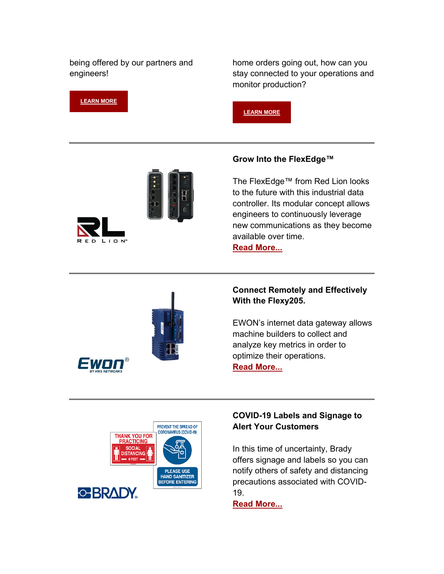being offered by our partners and engineers!

home orders going out, how can you stay connected to your operations and monitor production?





**[LEARN MORE](https://info.standardelectricsupply.com/e2t/c/*W87pdsv2YgM26W9dp5CL5Xq45W0/*W7JNrcJ6VhkJ-W1h2MYr4WcWd30/5/f18dQhb0S65P2dYTs8TvVlF2FzNx4W2Y3tz42M6sP_W3jpNZK3mt_yZW3S_Ys-2Nq1ZkW8XSfR04m-8FvW1rSNFt1330HWW55l1bQ8bfJZCW4NN4kP93nCrdW7SNjRD4XY4jxW4zrfL978kg7yW9l4qHB8Q1ZjmW3ntb9624TRDmW1btr0f7nzKtYW7GCP-J2Bdj69W7h17Rr6dgmrHW6skfT01X07gFW56dK4120lmJDN6jpN4sg3803N3Twnfv5-hrRN5Y1K1RJVbRDVvLrgY6SvJ6vW54HHGm5j2F8HW67LV8T9j8FrDVdcXdj2mxXGcW37-w687rnDL1W6kGXYb6jPngDW5Ld3Nz63gpD2W5Y-Y0q2BJx6_N3YPGkwGQPXRW1tRL2B8WQlfyW8J7jtH86RQ-MW2SwbQj3X_26DW771L315MDBghW3b3TMr4gh2MrW3_FSzY5XSgHzVnPHt-3p0g6PW1xBcqS20F8S2W1kjZsM3cqJ-7N4jxymYYJ07MW4QljCV8V7Qm8W4lqjnc96czxnW4bWD2b4sfHBdW5fDymk8KYKkMW9gc6np7h0QjmVchPXt46sXGrf4C08zf02)**

#### **Grow Into the FlexEdge™**

The FlexEdge™ from Red Lion looks to the future with this industrial data controller. Its modular concept allows engineers to continuously leverage new communications as they become available over time.

**[Read More...](https://info.standardelectricsupply.com/e2t/c/*W87pdsv2YgM26W9dp5CL5Xq45W0/*W5d-bRj2cl66KW8ypTGy7qxg-20/5/f18dQhb0SnGZ9hxTXFN92F23YHbqG6W1yfnKS1PTS2lW7nV4hL1vkZ1yW1L5k951BbMZPW2MyrhR2JDkv5W1J4xnn1J6lZzW7kXZxV7z32HLW7z2NMJ7vRd_kW7r5B322RvBqJW1GmwCS7x1_BtW7LLxcZ7mHF3-W7sTjsd2Qy-g9W2PgKnd1Bp__JW366BqC2MkPjTW2HnHLB1G6c7yW1wdcHw1GmwJ3W7vPVHQ7w4nLlV32NFq64jzh4W7-FBsx6XlGdcW1Fbck055T8N8W7w3wPS1NC3KcN1F6KTts5qN0W6mJdH11yf2m1W1CK1xd8SRsd-W6d_7xv45WFddW2Sxfqd8V41qvW1whdj61zsXwxN1BrzcPjbs34W2G7k98490kwbW6zy69m8Y1nn8W7zMnT81J5mQFW8VShyL2Sz0JyW90LxCj7CksSlN6FHcm0lH6nwN4gN6bGq2KGSN7k2b3dbjwpyW7L-Hpx73QsnmW1d5pgb5dLm5KW8x0rVv3J4swYW5ysswT1HWmK0W5mRgWy6LwsRdW7MwX8Q2k2ht6W8PWPRw830QQ9W17lkTj5GkbchN3ZzpNdtJCL4V3_BYj2md864111)**



#### **Connect Remotely and Effectively With the Flexy205.**

EWON's internet data gateway allows machine builders to collect and analyze key metrics in order to optimize their operations. **[Read More...](https://info.standardelectricsupply.com/e2t/c/*W87pdsv2YgM26W9dp5CL5Xq45W0/*W5cyKnp4dfr39W4-zl6F8t1KpW0/5/f18dQhb0SfHp9c-gFRW8K9GT11lnqRDW34vNrH3BLH4QW5qFK9H2YHY4hW3v99MF3bn3l0W5y3q4R5mg5yMW3n8Fh73ndJX6W5gNvNX5L1J3DW5L1yJ85FxD5fW3jQbhy6jzLnhW3jc8DS3H2TVNW5D3r225J2BQ4W3jQ44t43MkXMW10w9Qv3lGWyZW5PyB6030ZtSSW5mfhzY3VXWykW3jjyH73jcy46W353vtR34Y-JRW5rcZX12-294gN5J0bCQR-FcmW7lYt774TvWZMW6v_-Dm5vXK6WW3YnMJk2_1rp5W3ZQ23F8vr5SsW62nL4s8bQWD3W8zsNL25lTmy8W14lzt95F2HRfW8nHrns5vGfkRW18ZTVm3cqzfgVLHKVb18YnWvMR4Hn2JlhQMW5RnbYz3RYF7hN2-sN6mRxckkVMFMVx5PV2HwW5PVlql5H_v-LW3KpPK78sq54_W3DyNPH41KgFHW8k5Rkb8hN9-QW133y1j2m713hW5jg9t94PxC8jW448hWw2KBr6FVGW3z28VHFNfN8hvqSDj8tbNW480Y_K5MGqBCW5cbsf16q3gmqW7Y8l6F6Wxg87W54R5pQ3tnm8bW5NNm_H4Pv86fV5XZjN38kl3B102)**



#### **COVID-19 Labels and Signage to Alert Your Customers**

In this time of uncertainty, Brady offers signage and labels so you can notify others of safety and distancing precautions associated with COVID-19.

**[Read More...](https://info.standardelectricsupply.com/e2t/c/*W87pdsv2YgM26W9dp5CL5Xq45W0/*W2bRFKz5LWkmCW8ZG4_D1wCYY90/5/f18dQhb0SfHB9cwkgDW3ykx7f2P58x7W1N1Pq63SyQg5W3CXHLL1wclHvW7TB5J57TyrKkW7t4PKW2KB7XVW2Rhhgl2PjM7ZW1vtm-s2NB2NVW2XtdLt2JDgWkW2WbNdj69P_NZW7xRrRc2MkDtPW1yd1jt7y2w-LW2PzMxp2HDFn_W1xyNhN1HltsQN2VtC3z8Z-MYW64Hm7C5r_HxpW58jrRT7rCZhRW2MyX6Q53Y8dFW548GrJ5lKvt_N5420y5JVPYnW3CPQ_B5D8zFFVhQ3kc6GFMdNVYSX-57m_B1RW5c8d-S3785jyVfy_NZ63VZyGW1pPDYp868vhdW62LYqD3hbpBjW42d2zf96hVX4W4rgWLc2BCK17W95XYwG3T94_cW1qt7pL8R492zN4KJR2FQJFnqW3Sb8QL2ygpFJW8n1KPY8q706yW6QQGc835W08tW4CSC8T25_CFfW8KnJZs2j96SmW1nZ-WD7g8PzHMhzVNsZ_kGbW1NFfl48P4GZ3N6bKTn74qLPYW5DGTLY3HR53TW4J35S42N6Z0FW5rpvPQ12sFtTW1ngmXk9jwQ5JW3_PVpT2wqMCqN6RxLVVLG01PMrTzpY1KLtcf7Lp-dC03)**